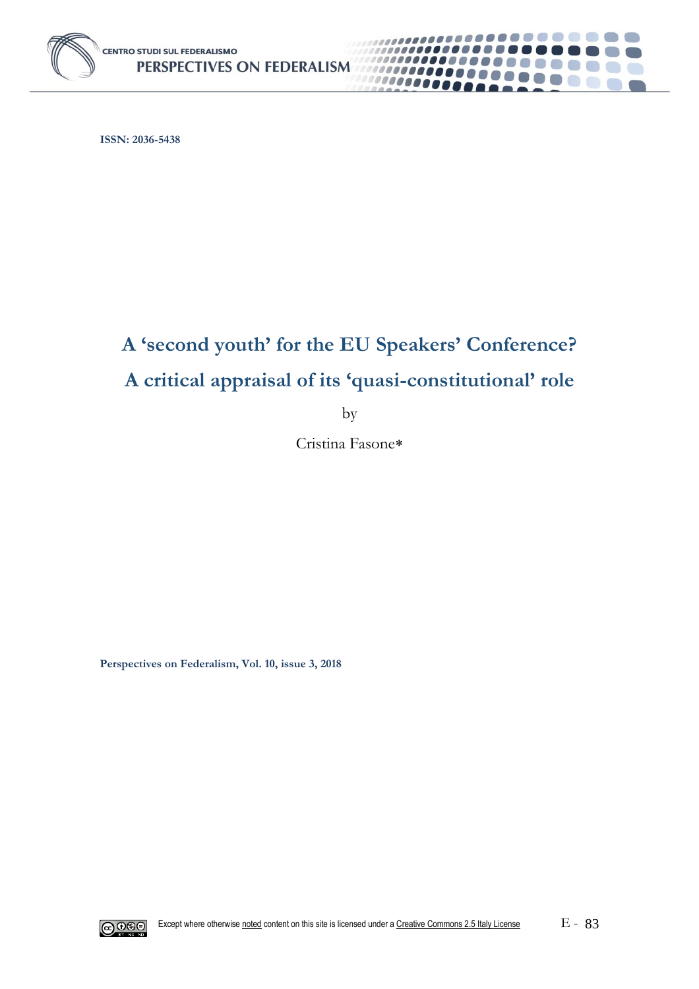

**ISSN: 2036-5438**

# **A 'second youth' for the EU Speakers' Conference? A critical appraisal of its 'quasi-constitutional' role**

**.......** 

**Common** 

000000000

10000000

by

Cristina Fasone

**Perspectives on Federalism, Vol. 10, issue 3, 2018**

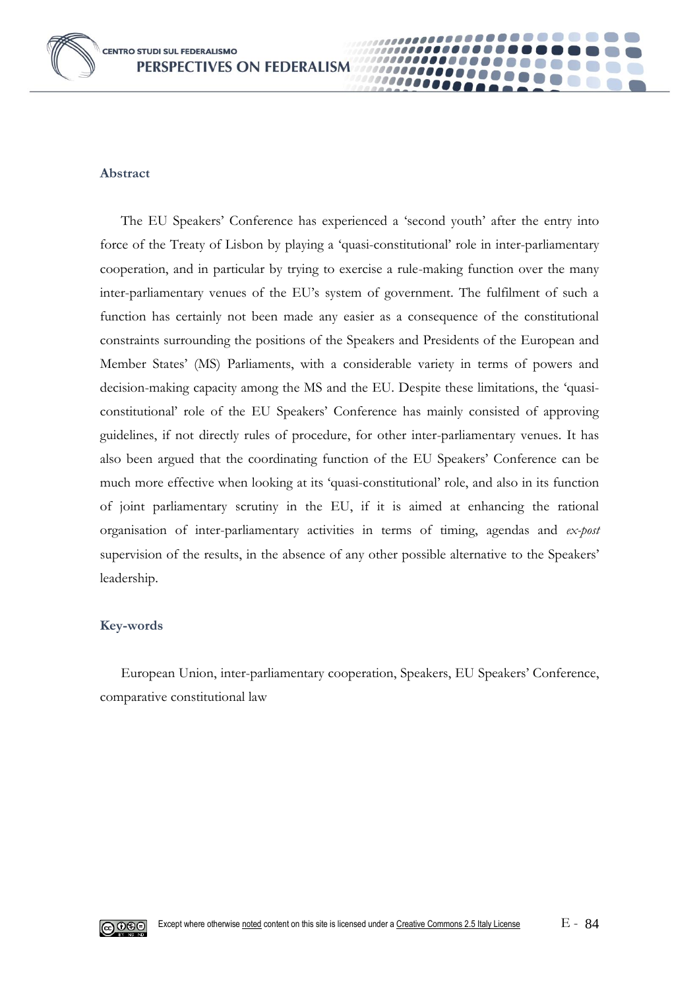

#### **Abstract**

The EU Speakers' Conference has experienced a 'second youth' after the entry into force of the Treaty of Lisbon by playing a 'quasi-constitutional' role in inter-parliamentary cooperation, and in particular by trying to exercise a rule-making function over the many inter-parliamentary venues of the EU's system of government. The fulfilment of such a function has certainly not been made any easier as a consequence of the constitutional constraints surrounding the positions of the Speakers and Presidents of the European and Member States' (MS) Parliaments, with a considerable variety in terms of powers and decision-making capacity among the MS and the EU. Despite these limitations, the 'quasiconstitutional' role of the EU Speakers' Conference has mainly consisted of approving guidelines, if not directly rules of procedure, for other inter-parliamentary venues. It has also been argued that the coordinating function of the EU Speakers' Conference can be much more effective when looking at its 'quasi-constitutional' role, and also in its function of joint parliamentary scrutiny in the EU, if it is aimed at enhancing the rational organisation of inter-parliamentary activities in terms of timing, agendas and *ex-post* supervision of the results, in the absence of any other possible alternative to the Speakers' leadership.

00000

#### **Key-words**

European Union, inter-parliamentary cooperation, Speakers, EU Speakers' Conference, comparative constitutional law

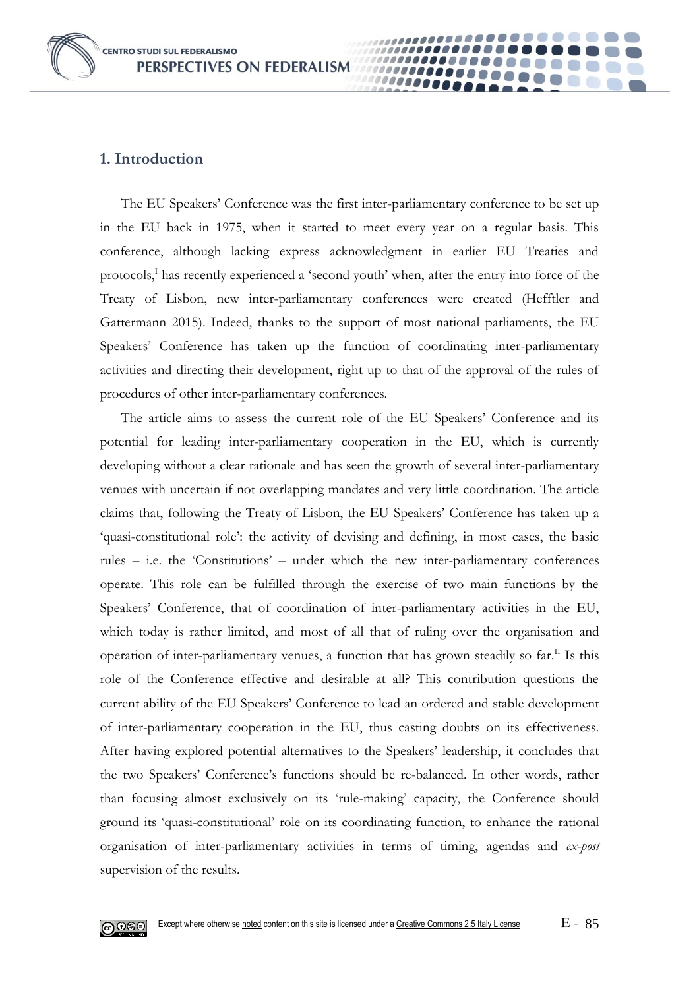**CENTRO STUDI SUL FEDERALISMO** PERSPECTIVES ON FEDERALISM



#### **1. Introduction**

The EU Speakers' Conference was the first inter-parliamentary conference to be set up in the EU back in 1975, when it started to meet every year on a regular basis. This conference, although lacking express acknowledgment in earlier EU Treaties and protocols,<sup>I</sup> has recently experienced a 'second youth' when, after the entry into force of the Treaty of Lisbon, new inter-parliamentary conferences were created (Hefftler and Gattermann 2015). Indeed, thanks to the support of most national parliaments, the EU Speakers' Conference has taken up the function of coordinating inter-parliamentary activities and directing their development, right up to that of the approval of the rules of procedures of other inter-parliamentary conferences.

00000

The article aims to assess the current role of the EU Speakers' Conference and its potential for leading inter-parliamentary cooperation in the EU, which is currently developing without a clear rationale and has seen the growth of several inter-parliamentary venues with uncertain if not overlapping mandates and very little coordination. The article claims that, following the Treaty of Lisbon, the EU Speakers' Conference has taken up a 'quasi-constitutional role': the activity of devising and defining, in most cases, the basic rules – i.e. the 'Constitutions' – under which the new inter-parliamentary conferences operate. This role can be fulfilled through the exercise of two main functions by the Speakers' Conference, that of coordination of inter-parliamentary activities in the EU, which today is rather limited, and most of all that of ruling over the organisation and operation of inter-parliamentary venues, a function that has grown steadily so  $far$ <sup>II</sup> Is this role of the Conference effective and desirable at all? This contribution questions the current ability of the EU Speakers' Conference to lead an ordered and stable development of inter-parliamentary cooperation in the EU, thus casting doubts on its effectiveness. After having explored potential alternatives to the Speakers' leadership, it concludes that the two Speakers' Conference's functions should be re-balanced. In other words, rather than focusing almost exclusively on its 'rule-making' capacity, the Conference should ground its 'quasi-constitutional' role on its coordinating function, to enhance the rational organisation of inter-parliamentary activities in terms of timing, agendas and *ex-post* supervision of the results.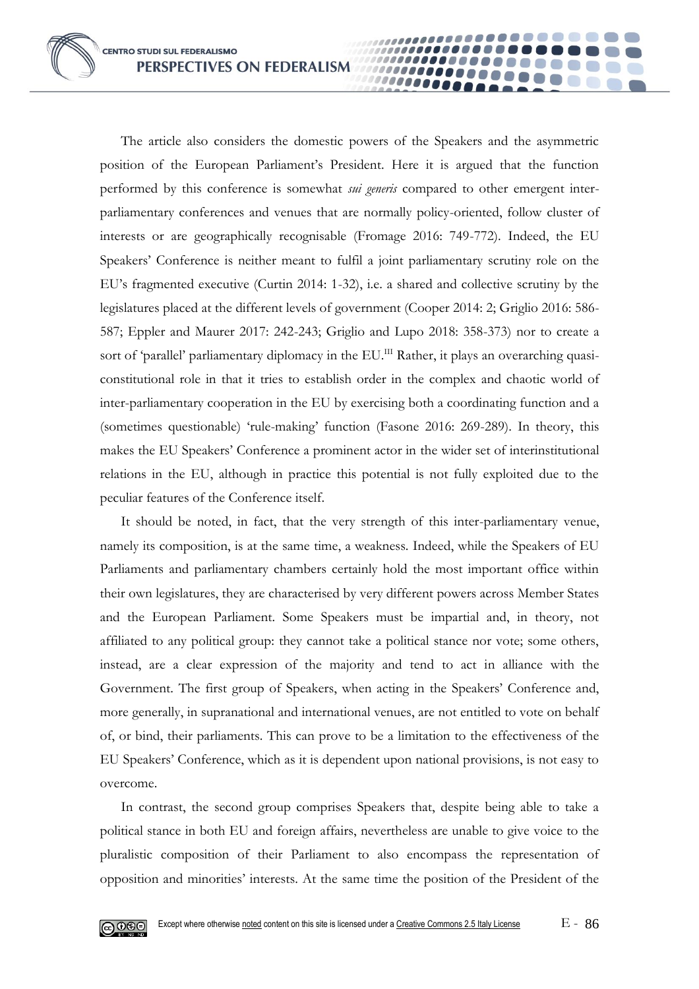The article also considers the domestic powers of the Speakers and the asymmetric position of the European Parliament's President. Here it is argued that the function performed by this conference is somewhat *sui generis* compared to other emergent interparliamentary conferences and venues that are normally policy-oriented, follow cluster of interests or are geographically recognisable (Fromage 2016: 749-772). Indeed, the EU Speakers' Conference is neither meant to fulfil a joint parliamentary scrutiny role on the EU's fragmented executive (Curtin 2014: 1-32), i.e. a shared and collective scrutiny by the legislatures placed at the different levels of government (Cooper 2014: 2; Griglio 2016: 586- 587; Eppler and Maurer 2017: 242-243; Griglio and Lupo 2018: 358-373) nor to create a sort of 'parallel' parliamentary diplomacy in the EU.<sup>III</sup> Rather, it plays an overarching quasiconstitutional role in that it tries to establish order in the complex and chaotic world of inter-parliamentary cooperation in the EU by exercising both a coordinating function and a (sometimes questionable) 'rule-making' function (Fasone 2016: 269-289). In theory, this makes the EU Speakers' Conference a prominent actor in the wider set of interinstitutional relations in the EU, although in practice this potential is not fully exploited due to the peculiar features of the Conference itself.

00000

It should be noted, in fact, that the very strength of this inter-parliamentary venue, namely its composition, is at the same time, a weakness. Indeed, while the Speakers of EU Parliaments and parliamentary chambers certainly hold the most important office within their own legislatures, they are characterised by very different powers across Member States and the European Parliament. Some Speakers must be impartial and, in theory, not affiliated to any political group: they cannot take a political stance nor vote; some others, instead, are a clear expression of the majority and tend to act in alliance with the Government. The first group of Speakers, when acting in the Speakers' Conference and, more generally, in supranational and international venues, are not entitled to vote on behalf of, or bind, their parliaments. This can prove to be a limitation to the effectiveness of the EU Speakers' Conference, which as it is dependent upon national provisions, is not easy to overcome.

In contrast, the second group comprises Speakers that, despite being able to take a political stance in both EU and foreign affairs, nevertheless are unable to give voice to the pluralistic composition of their Parliament to also encompass the representation of opposition and minorities' interests. At the same time the position of the President of the

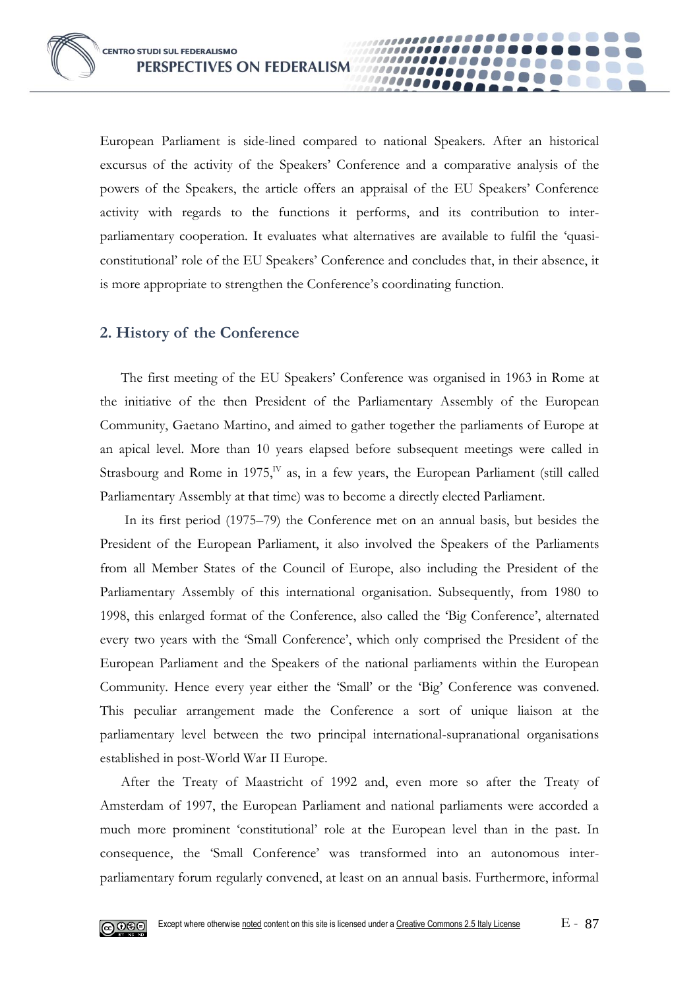European Parliament is side-lined compared to national Speakers. After an historical excursus of the activity of the Speakers' Conference and a comparative analysis of the powers of the Speakers, the article offers an appraisal of the EU Speakers' Conference activity with regards to the functions it performs, and its contribution to interparliamentary cooperation. It evaluates what alternatives are available to fulfil the 'quasiconstitutional' role of the EU Speakers' Conference and concludes that, in their absence, it is more appropriate to strengthen the Conference's coordinating function.

00000

### **2. History of the Conference**

The first meeting of the EU Speakers' Conference was organised in 1963 in Rome at the initiative of the then President of the Parliamentary Assembly of the European Community, Gaetano Martino, and aimed to gather together the parliaments of Europe at an apical level. More than 10 years elapsed before subsequent meetings were called in Strasbourg and Rome in 1975,<sup>IV</sup> as, in a few years, the European Parliament (still called Parliamentary Assembly at that time) was to become a directly elected Parliament.

In its first period (1975–79) the Conference met on an annual basis, but besides the President of the European Parliament, it also involved the Speakers of the Parliaments from all Member States of the Council of Europe, also including the President of the Parliamentary Assembly of this international organisation. Subsequently, from 1980 to 1998, this enlarged format of the Conference, also called the 'Big Conference', alternated every two years with the 'Small Conference', which only comprised the President of the European Parliament and the Speakers of the national parliaments within the European Community. Hence every year either the 'Small' or the 'Big' Conference was convened. This peculiar arrangement made the Conference a sort of unique liaison at the parliamentary level between the two principal international-supranational organisations established in post-World War II Europe.

After the Treaty of Maastricht of 1992 and, even more so after the Treaty of Amsterdam of 1997, the European Parliament and national parliaments were accorded a much more prominent 'constitutional' role at the European level than in the past. In consequence, the 'Small Conference' was transformed into an autonomous interparliamentary forum regularly convened, at least on an annual basis. Furthermore, informal

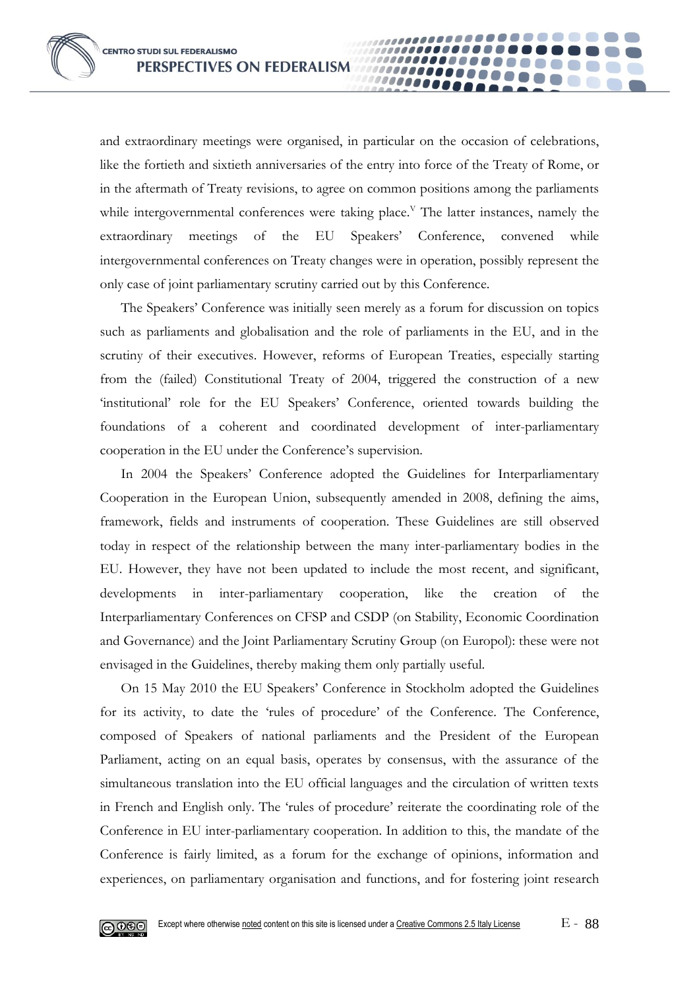and extraordinary meetings were organised, in particular on the occasion of celebrations, like the fortieth and sixtieth anniversaries of the entry into force of the Treaty of Rome, or in the aftermath of Treaty revisions, to agree on common positions among the parliaments while intergovernmental conferences were taking place.<sup>V</sup> The latter instances, namely the extraordinary meetings of the EU Speakers' Conference, convened while intergovernmental conferences on Treaty changes were in operation, possibly represent the only case of joint parliamentary scrutiny carried out by this Conference.

00000

The Speakers' Conference was initially seen merely as a forum for discussion on topics such as parliaments and globalisation and the role of parliaments in the EU, and in the scrutiny of their executives. However, reforms of European Treaties, especially starting from the (failed) Constitutional Treaty of 2004, triggered the construction of a new 'institutional' role for the EU Speakers' Conference, oriented towards building the foundations of a coherent and coordinated development of inter-parliamentary cooperation in the EU under the Conference's supervision.

In 2004 the Speakers' Conference adopted the Guidelines for Interparliamentary Cooperation in the European Union, subsequently amended in 2008, defining the aims, framework, fields and instruments of cooperation. These Guidelines are still observed today in respect of the relationship between the many inter-parliamentary bodies in the EU. However, they have not been updated to include the most recent, and significant, developments in inter-parliamentary cooperation, like the creation of the Interparliamentary Conferences on CFSP and CSDP (on Stability, Economic Coordination and Governance) and the Joint Parliamentary Scrutiny Group (on Europol): these were not envisaged in the Guidelines, thereby making them only partially useful.

On 15 May 2010 the EU Speakers' Conference in Stockholm adopted the Guidelines for its activity, to date the 'rules of procedure' of the Conference. The Conference, composed of Speakers of national parliaments and the President of the European Parliament, acting on an equal basis, operates by consensus, with the assurance of the simultaneous translation into the EU official languages and the circulation of written texts in French and English only. The 'rules of procedure' reiterate the coordinating role of the Conference in EU inter-parliamentary cooperation. In addition to this, the mandate of the Conference is fairly limited, as a forum for the exchange of opinions, information and experiences, on parliamentary organisation and functions, and for fostering joint research

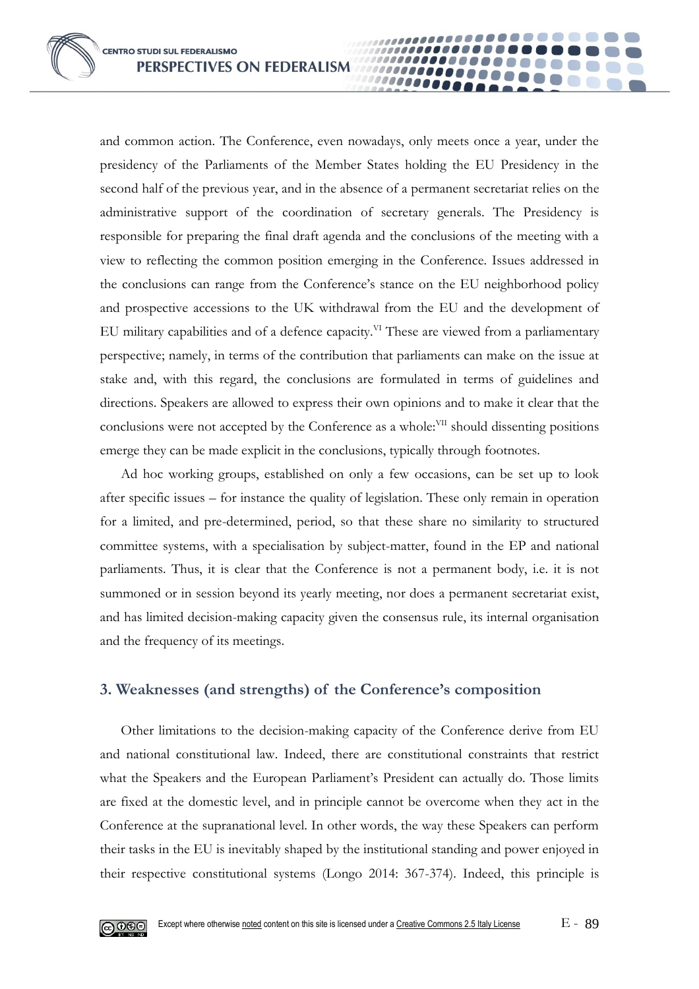**CENTRO STUDI SUL FEDERALISMO** PERSPECTIVES ON FEDERALISM

and common action. The Conference, even nowadays, only meets once a year, under the presidency of the Parliaments of the Member States holding the EU Presidency in the second half of the previous year, and in the absence of a permanent secretariat relies on the administrative support of the coordination of secretary generals. The Presidency is responsible for preparing the final draft agenda and the conclusions of the meeting with a view to reflecting the common position emerging in the Conference. Issues addressed in the conclusions can range from the Conference's stance on the EU neighborhood policy and prospective accessions to the UK withdrawal from the EU and the development of EU military capabilities and of a defence capacity.<sup>VI</sup> These are viewed from a parliamentary perspective; namely, in terms of the contribution that parliaments can make on the issue at stake and, with this regard, the conclusions are formulated in terms of guidelines and directions. Speakers are allowed to express their own opinions and to make it clear that the conclusions were not accepted by the Conference as a whole:<sup>VII</sup> should dissenting positions emerge they can be made explicit in the conclusions, typically through footnotes.

00000

Ad hoc working groups, established on only a few occasions, can be set up to look after specific issues – for instance the quality of legislation. These only remain in operation for a limited, and pre-determined, period, so that these share no similarity to structured committee systems, with a specialisation by subject-matter, found in the EP and national parliaments. Thus, it is clear that the Conference is not a permanent body, i.e. it is not summoned or in session beyond its yearly meeting, nor does a permanent secretariat exist, and has limited decision-making capacity given the consensus rule, its internal organisation and the frequency of its meetings.

### **3. Weaknesses (and strengths) of the Conference's composition**

Other limitations to the decision-making capacity of the Conference derive from EU and national constitutional law. Indeed, there are constitutional constraints that restrict what the Speakers and the European Parliament's President can actually do. Those limits are fixed at the domestic level, and in principle cannot be overcome when they act in the Conference at the supranational level. In other words, the way these Speakers can perform their tasks in the EU is inevitably shaped by the institutional standing and power enjoyed in their respective constitutional systems (Longo 2014: 367-374). Indeed, this principle is

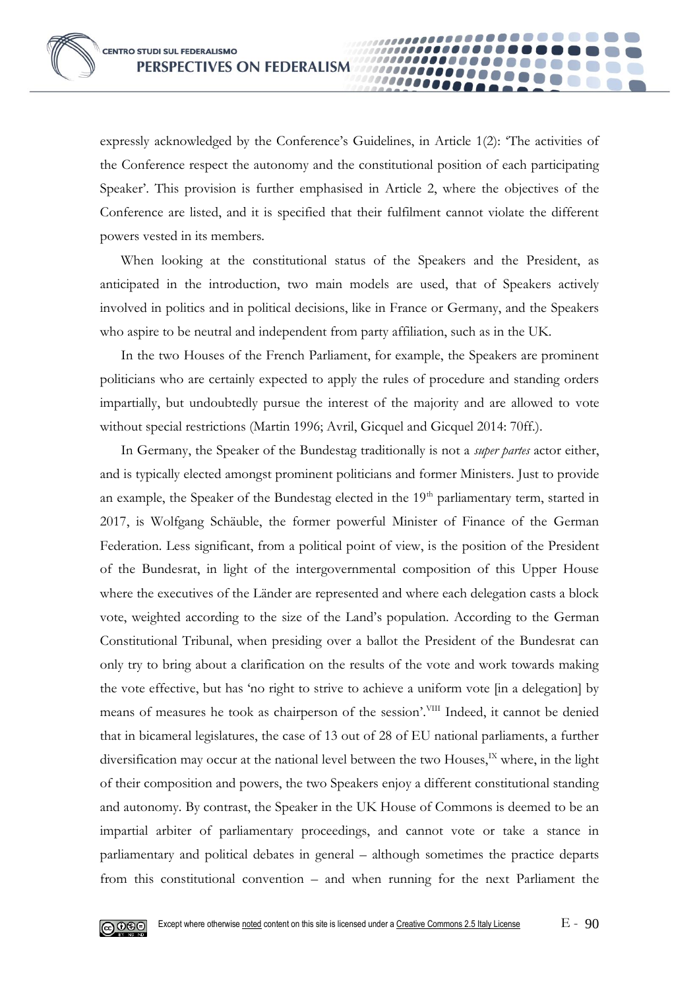expressly acknowledged by the Conference's Guidelines, in Article 1(2): 'The activities of the Conference respect the autonomy and the constitutional position of each participating Speaker'. This provision is further emphasised in Article 2, where the objectives of the Conference are listed, and it is specified that their fulfilment cannot violate the different powers vested in its members.

10000

When looking at the constitutional status of the Speakers and the President, as anticipated in the introduction, two main models are used, that of Speakers actively involved in politics and in political decisions, like in France or Germany, and the Speakers who aspire to be neutral and independent from party affiliation, such as in the UK.

In the two Houses of the French Parliament, for example, the Speakers are prominent politicians who are certainly expected to apply the rules of procedure and standing orders impartially, but undoubtedly pursue the interest of the majority and are allowed to vote without special restrictions (Martin 1996; Avril, Gicquel and Gicquel 2014: 70ff.).

In Germany, the Speaker of the Bundestag traditionally is not a *super partes* actor either, and is typically elected amongst prominent politicians and former Ministers. Just to provide an example, the Speaker of the Bundestag elected in the  $19<sup>th</sup>$  parliamentary term, started in 2017, is Wolfgang Schäuble, the former powerful Minister of Finance of the German Federation. Less significant, from a political point of view, is the position of the President of the Bundesrat, in light of the intergovernmental composition of this Upper House where the executives of the Länder are represented and where each delegation casts a block vote, weighted according to the size of the Land's population. According to the German Constitutional Tribunal, when presiding over a ballot the President of the Bundesrat can only try to bring about a clarification on the results of the vote and work towards making the vote effective, but has 'no right to strive to achieve a uniform vote [in a delegation] by means of measures he took as chairperson of the session'. VIII Indeed, it cannot be denied that in bicameral legislatures, the case of 13 out of 28 of EU national parliaments, a further diversification may occur at the national level between the two Houses,<sup>IX</sup> where, in the light of their composition and powers, the two Speakers enjoy a different constitutional standing and autonomy. By contrast, the Speaker in the UK House of Commons is deemed to be an impartial arbiter of parliamentary proceedings, and cannot vote or take a stance in parliamentary and political debates in general – although sometimes the practice departs from this constitutional convention – and when running for the next Parliament the

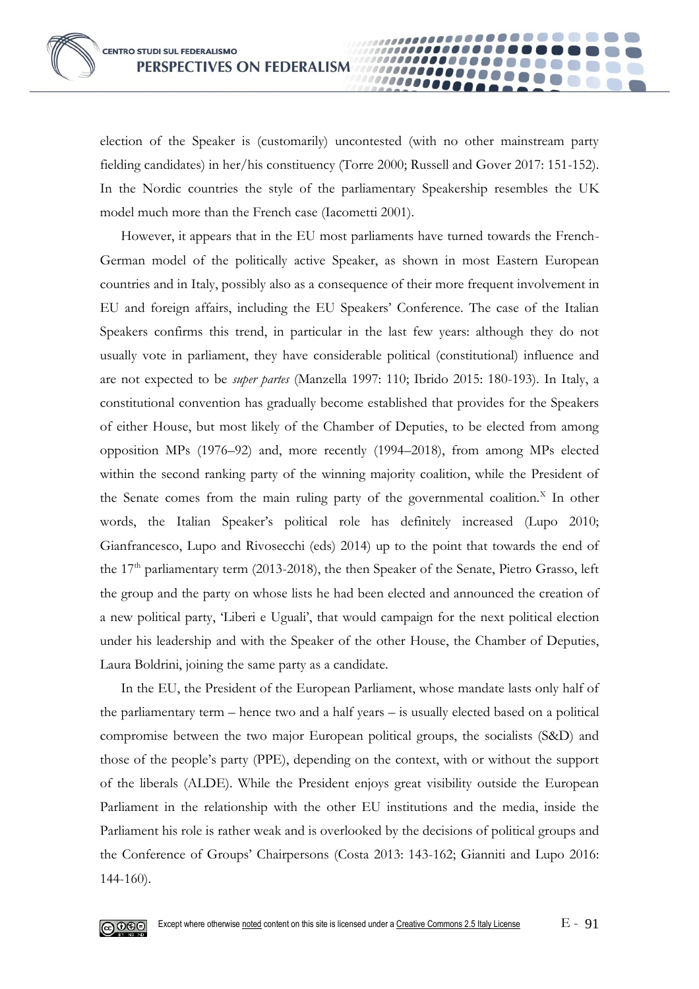election of the Speaker is (customarily) uncontested (with no other mainstream party fielding candidates) in her/his constituency (Torre 2000; Russell and Gover 2017: 151-152). In the Nordic countries the style of the parliamentary Speakership resembles the UK model much more than the French case (Iacometti 2001).

......... 10000

However, it appears that in the EU most parliaments have turned towards the French-German model of the politically active Speaker, as shown in most Eastern European countries and in Italy, possibly also as a consequence of their more frequent involvement in EU and foreign affairs, including the EU Speakers' Conference. The case of the Italian Speakers confirms this trend, in particular in the last few years: although they do not usually vote in parliament, they have considerable political (constitutional) influence and are not expected to be *super partes* (Manzella 1997: 110; Ibrido 2015: 180-193). In Italy, a constitutional convention has gradually become established that provides for the Speakers of either House, but most likely of the Chamber of Deputies, to be elected from among opposition MPs (1976–92) and, more recently (1994–2018), from among MPs elected within the second ranking party of the winning majority coalition, while the President of the Senate comes from the main ruling party of the governmental coalition.<sup>X</sup> In other words, the Italian Speaker's political role has definitely increased (Lupo 2010; Gianfrancesco, Lupo and Rivosecchi (eds) 2014) up to the point that towards the end of the  $17<sup>th</sup>$  parliamentary term (2013-2018), the then Speaker of the Senate, Pietro Grasso, left the group and the party on whose lists he had been elected and announced the creation of a new political party, 'Liberi e Uguali', that would campaign for the next political election under his leadership and with the Speaker of the other House, the Chamber of Deputies, Laura Boldrini, joining the same party as a candidate.

In the EU, the President of the European Parliament, whose mandate lasts only half of the parliamentary term – hence two and a half years – is usually elected based on a political compromise between the two major European political groups, the socialists (S&D) and those of the people's party (PPE), depending on the context, with or without the support of the liberals (ALDE). While the President enjoys great visibility outside the European Parliament in the relationship with the other EU institutions and the media, inside the Parliament his role is rather weak and is overlooked by the decisions of political groups and the Conference of Groups' Chairpersons (Costa 2013: 143-162; Gianniti and Lupo 2016: 144-160).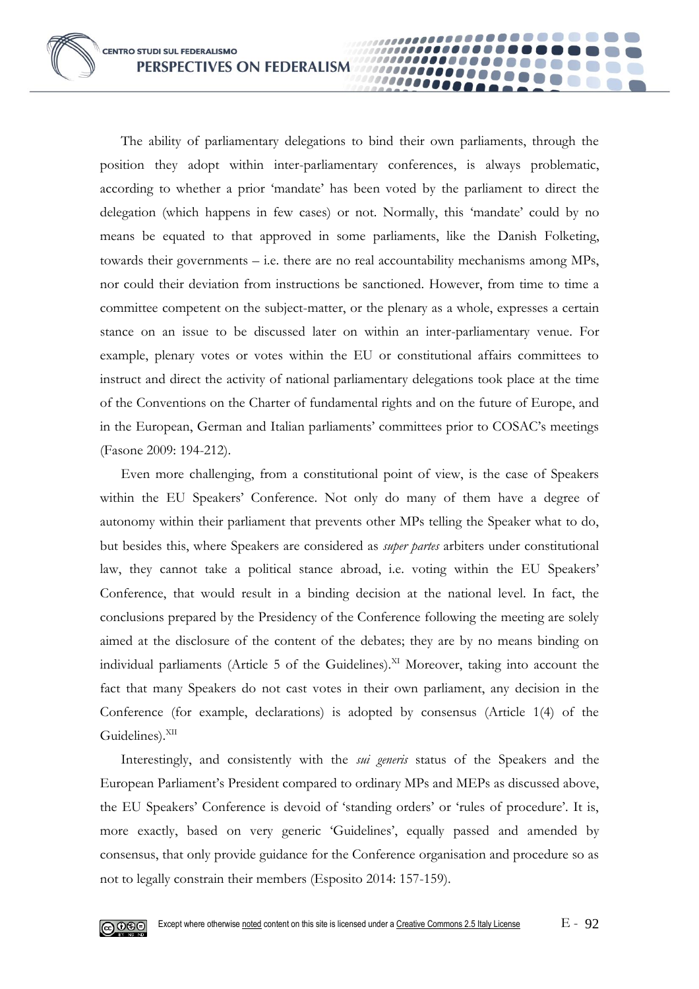The ability of parliamentary delegations to bind their own parliaments, through the position they adopt within inter-parliamentary conferences, is always problematic, according to whether a prior 'mandate' has been voted by the parliament to direct the delegation (which happens in few cases) or not. Normally, this 'mandate' could by no means be equated to that approved in some parliaments, like the Danish Folketing, towards their governments – i.e. there are no real accountability mechanisms among MPs, nor could their deviation from instructions be sanctioned. However, from time to time a committee competent on the subject-matter, or the plenary as a whole, expresses a certain stance on an issue to be discussed later on within an inter-parliamentary venue. For example, plenary votes or votes within the EU or constitutional affairs committees to instruct and direct the activity of national parliamentary delegations took place at the time of the Conventions on the Charter of fundamental rights and on the future of Europe, and in the European, German and Italian parliaments' committees prior to COSAC's meetings (Fasone 2009: 194-212).

00000

Even more challenging, from a constitutional point of view, is the case of Speakers within the EU Speakers' Conference. Not only do many of them have a degree of autonomy within their parliament that prevents other MPs telling the Speaker what to do, but besides this, where Speakers are considered as *super partes* arbiters under constitutional law, they cannot take a political stance abroad, i.e. voting within the EU Speakers' Conference, that would result in a binding decision at the national level. In fact, the conclusions prepared by the Presidency of the Conference following the meeting are solely aimed at the disclosure of the content of the debates; they are by no means binding on individual parliaments (Article 5 of the Guidelines).<sup>XI</sup> Moreover, taking into account the fact that many Speakers do not cast votes in their own parliament, any decision in the Conference (for example, declarations) is adopted by consensus (Article 1(4) of the Guidelines).<sup>XII</sup>

Interestingly, and consistently with the *sui generis* status of the Speakers and the European Parliament's President compared to ordinary MPs and MEPs as discussed above, the EU Speakers' Conference is devoid of 'standing orders' or 'rules of procedure'. It is, more exactly, based on very generic 'Guidelines', equally passed and amended by consensus, that only provide guidance for the Conference organisation and procedure so as not to legally constrain their members (Esposito 2014: 157-159).

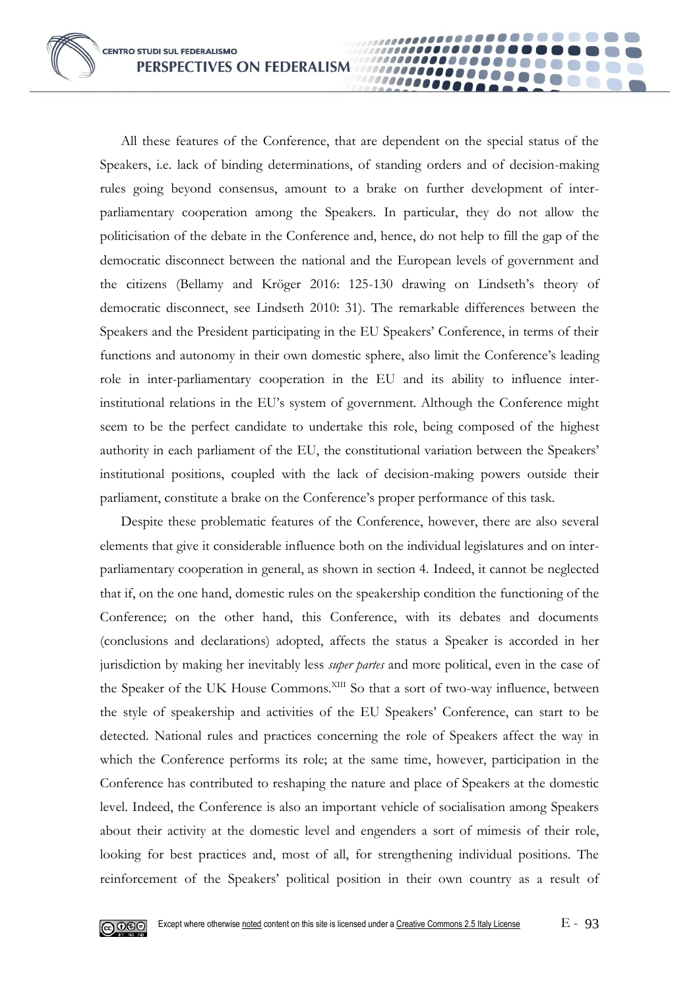All these features of the Conference, that are dependent on the special status of the Speakers, i.e. lack of binding determinations, of standing orders and of decision-making rules going beyond consensus, amount to a brake on further development of interparliamentary cooperation among the Speakers. In particular, they do not allow the politicisation of the debate in the Conference and, hence, do not help to fill the gap of the democratic disconnect between the national and the European levels of government and the citizens (Bellamy and Kröger 2016: 125-130 drawing on Lindseth's theory of democratic disconnect, see Lindseth 2010: 31). The remarkable differences between the Speakers and the President participating in the EU Speakers' Conference, in terms of their functions and autonomy in their own domestic sphere, also limit the Conference's leading role in inter-parliamentary cooperation in the EU and its ability to influence interinstitutional relations in the EU's system of government. Although the Conference might seem to be the perfect candidate to undertake this role, being composed of the highest authority in each parliament of the EU, the constitutional variation between the Speakers' institutional positions, coupled with the lack of decision-making powers outside their parliament, constitute a brake on the Conference's proper performance of this task.

100000001 00000

Despite these problematic features of the Conference, however, there are also several elements that give it considerable influence both on the individual legislatures and on interparliamentary cooperation in general, as shown in section 4. Indeed, it cannot be neglected that if, on the one hand, domestic rules on the speakership condition the functioning of the Conference; on the other hand, this Conference, with its debates and documents (conclusions and declarations) adopted, affects the status a Speaker is accorded in her jurisdiction by making her inevitably less *super partes* and more political, even in the case of the Speaker of the UK House Commons.<sup>XIII</sup> So that a sort of two-way influence, between the style of speakership and activities of the EU Speakers' Conference, can start to be detected. National rules and practices concerning the role of Speakers affect the way in which the Conference performs its role; at the same time, however, participation in the Conference has contributed to reshaping the nature and place of Speakers at the domestic level. Indeed, the Conference is also an important vehicle of socialisation among Speakers about their activity at the domestic level and engenders a sort of mimesis of their role, looking for best practices and, most of all, for strengthening individual positions. The reinforcement of the Speakers' political position in their own country as a result of

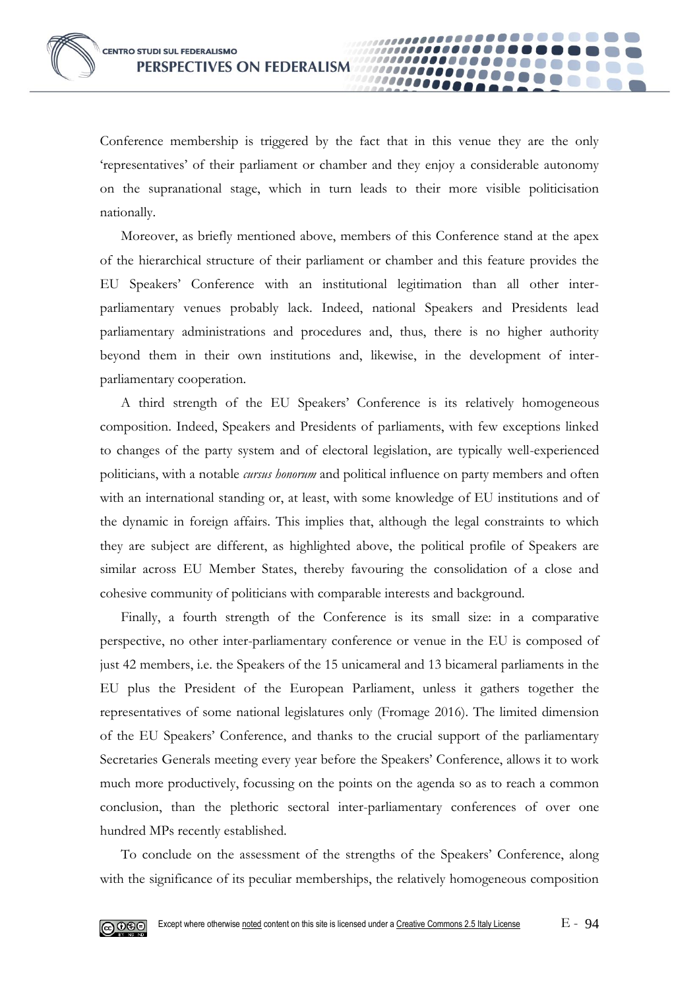Conference membership is triggered by the fact that in this venue they are the only 'representatives' of their parliament or chamber and they enjoy a considerable autonomy on the supranational stage, which in turn leads to their more visible politicisation nationally.

00000

Moreover, as briefly mentioned above, members of this Conference stand at the apex of the hierarchical structure of their parliament or chamber and this feature provides the EU Speakers' Conference with an institutional legitimation than all other interparliamentary venues probably lack. Indeed, national Speakers and Presidents lead parliamentary administrations and procedures and, thus, there is no higher authority beyond them in their own institutions and, likewise, in the development of interparliamentary cooperation.

A third strength of the EU Speakers' Conference is its relatively homogeneous composition. Indeed, Speakers and Presidents of parliaments, with few exceptions linked to changes of the party system and of electoral legislation, are typically well-experienced politicians, with a notable *cursus honorum* and political influence on party members and often with an international standing or, at least, with some knowledge of EU institutions and of the dynamic in foreign affairs. This implies that, although the legal constraints to which they are subject are different, as highlighted above, the political profile of Speakers are similar across EU Member States, thereby favouring the consolidation of a close and cohesive community of politicians with comparable interests and background.

Finally, a fourth strength of the Conference is its small size: in a comparative perspective, no other inter-parliamentary conference or venue in the EU is composed of just 42 members, i.e. the Speakers of the 15 unicameral and 13 bicameral parliaments in the EU plus the President of the European Parliament, unless it gathers together the representatives of some national legislatures only (Fromage 2016). The limited dimension of the EU Speakers' Conference, and thanks to the crucial support of the parliamentary Secretaries Generals meeting every year before the Speakers' Conference, allows it to work much more productively, focussing on the points on the agenda so as to reach a common conclusion, than the plethoric sectoral inter-parliamentary conferences of over one hundred MPs recently established.

To conclude on the assessment of the strengths of the Speakers' Conference, along with the significance of its peculiar memberships, the relatively homogeneous composition

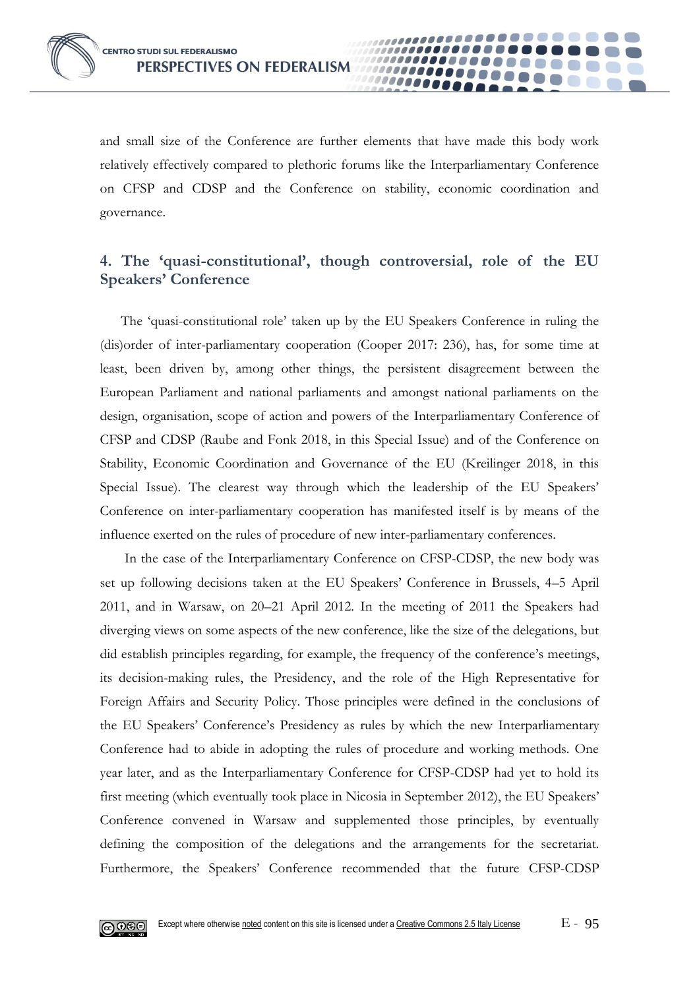

and small size of the Conference are further elements that have made this body work relatively effectively compared to plethoric forums like the Interparliamentary Conference on CFSP and CDSP and the Conference on stability, economic coordination and governance.

10000

## **4. The 'quasi-constitutional', though controversial, role of the EU Speakers' Conference**

The 'quasi-constitutional role' taken up by the EU Speakers Conference in ruling the (dis)order of inter-parliamentary cooperation (Cooper 2017: 236), has, for some time at least, been driven by, among other things, the persistent disagreement between the European Parliament and national parliaments and amongst national parliaments on the design, organisation, scope of action and powers of the Interparliamentary Conference of CFSP and CDSP (Raube and Fonk 2018, in this Special Issue) and of the Conference on Stability, Economic Coordination and Governance of the EU (Kreilinger 2018, in this Special Issue). The clearest way through which the leadership of the EU Speakers' Conference on inter-parliamentary cooperation has manifested itself is by means of the influence exerted on the rules of procedure of new inter-parliamentary conferences.

In the case of the Interparliamentary Conference on CFSP-CDSP, the new body was set up following decisions taken at the EU Speakers' Conference in Brussels, 4–5 April 2011, and in Warsaw, on 20–21 April 2012. In the meeting of 2011 the Speakers had diverging views on some aspects of the new conference, like the size of the delegations, but did establish principles regarding, for example, the frequency of the conference's meetings, its decision-making rules, the Presidency, and the role of the High Representative for Foreign Affairs and Security Policy. Those principles were defined in the conclusions of the EU Speakers' Conference's Presidency as rules by which the new Interparliamentary Conference had to abide in adopting the rules of procedure and working methods. One year later, and as the Interparliamentary Conference for CFSP-CDSP had yet to hold its first meeting (which eventually took place in Nicosia in September 2012), the EU Speakers' Conference convened in Warsaw and supplemented those principles, by eventually defining the composition of the delegations and the arrangements for the secretariat. Furthermore, the Speakers' Conference recommended that the future CFSP-CDSP

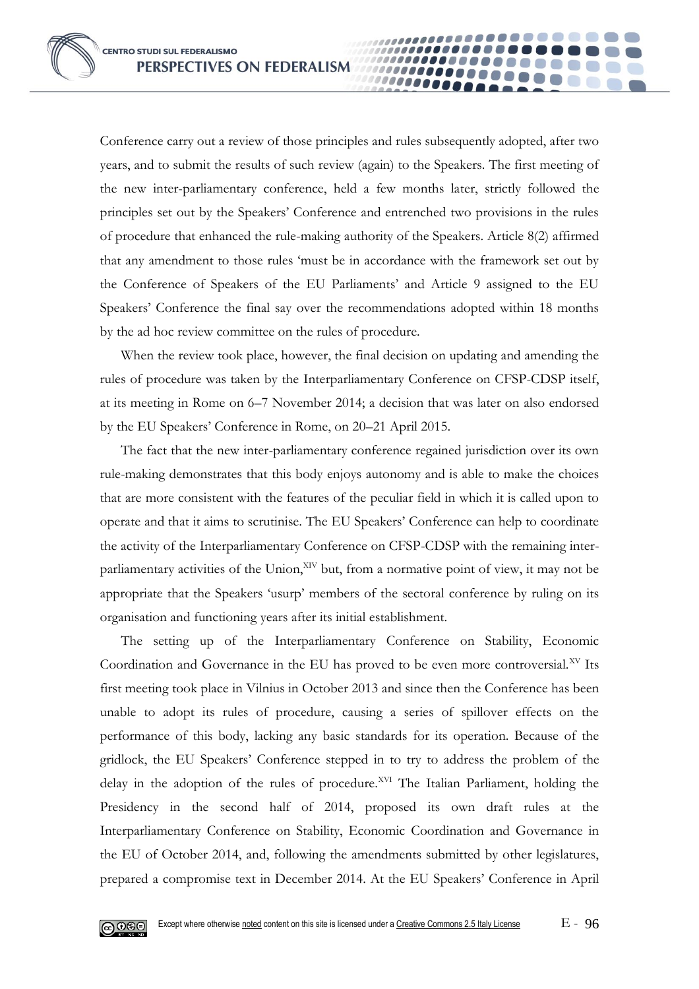Conference carry out a review of those principles and rules subsequently adopted, after two years, and to submit the results of such review (again) to the Speakers. The first meeting of the new inter-parliamentary conference, held a few months later, strictly followed the principles set out by the Speakers' Conference and entrenched two provisions in the rules of procedure that enhanced the rule-making authority of the Speakers. Article 8(2) affirmed that any amendment to those rules 'must be in accordance with the framework set out by the Conference of Speakers of the EU Parliaments' and Article 9 assigned to the EU Speakers' Conference the final say over the recommendations adopted within 18 months by the ad hoc review committee on the rules of procedure.

00000

When the review took place, however, the final decision on updating and amending the rules of procedure was taken by the Interparliamentary Conference on CFSP-CDSP itself, at its meeting in Rome on 6–7 November 2014; a decision that was later on also endorsed by the EU Speakers' Conference in Rome, on 20–21 April 2015.

The fact that the new inter-parliamentary conference regained jurisdiction over its own rule-making demonstrates that this body enjoys autonomy and is able to make the choices that are more consistent with the features of the peculiar field in which it is called upon to operate and that it aims to scrutinise. The EU Speakers' Conference can help to coordinate the activity of the Interparliamentary Conference on CFSP-CDSP with the remaining interparliamentary activities of the Union, XIV but, from a normative point of view, it may not be appropriate that the Speakers 'usurp' members of the sectoral conference by ruling on its organisation and functioning years after its initial establishment.

The setting up of the Interparliamentary Conference on Stability, Economic Coordination and Governance in the EU has proved to be even more controversial.<sup>XV</sup> Its first meeting took place in Vilnius in October 2013 and since then the Conference has been unable to adopt its rules of procedure, causing a series of spillover effects on the performance of this body, lacking any basic standards for its operation. Because of the gridlock, the EU Speakers' Conference stepped in to try to address the problem of the delay in the adoption of the rules of procedure.<sup>XVI</sup> The Italian Parliament, holding the Presidency in the second half of 2014, proposed its own draft rules at the Interparliamentary Conference on Stability, Economic Coordination and Governance in the EU of October 2014, and, following the amendments submitted by other legislatures, prepared a compromise text in December 2014. At the EU Speakers' Conference in April

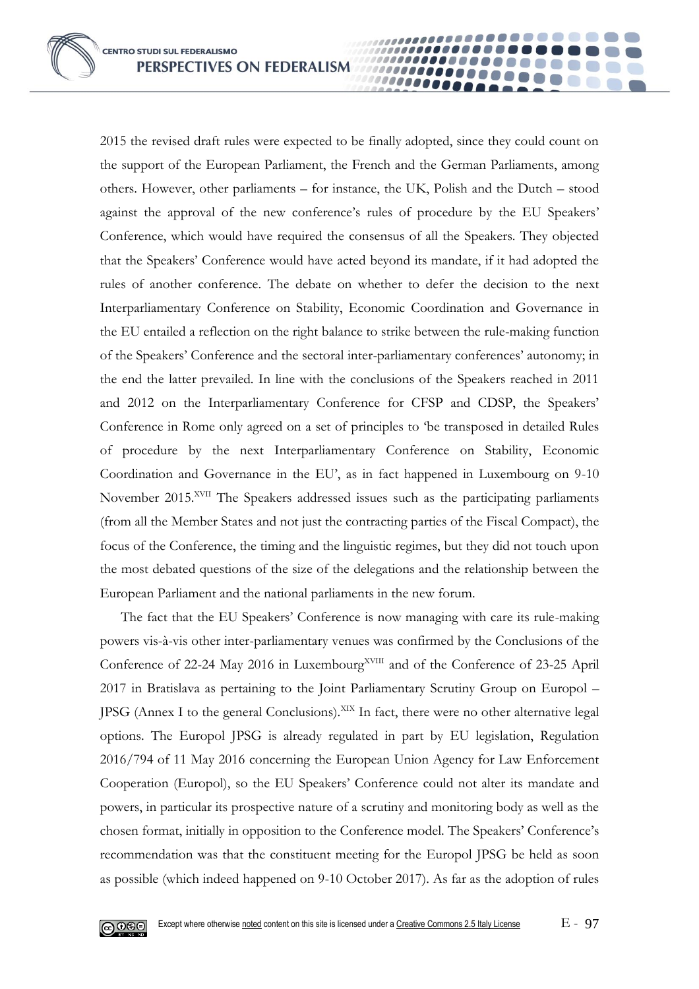2015 the revised draft rules were expected to be finally adopted, since they could count on the support of the European Parliament, the French and the German Parliaments, among others. However, other parliaments – for instance, the UK, Polish and the Dutch – stood against the approval of the new conference's rules of procedure by the EU Speakers' Conference, which would have required the consensus of all the Speakers. They objected that the Speakers' Conference would have acted beyond its mandate, if it had adopted the rules of another conference. The debate on whether to defer the decision to the next Interparliamentary Conference on Stability, Economic Coordination and Governance in the EU entailed a reflection on the right balance to strike between the rule-making function of the Speakers' Conference and the sectoral inter-parliamentary conferences' autonomy; in the end the latter prevailed. In line with the conclusions of the Speakers reached in 2011 and 2012 on the Interparliamentary Conference for CFSP and CDSP, the Speakers' Conference in Rome only agreed on a set of principles to 'be transposed in detailed Rules of procedure by the next Interparliamentary Conference on Stability, Economic Coordination and Governance in the EU', as in fact happened in Luxembourg on 9-10 November 2015.<sup>XVII</sup> The Speakers addressed issues such as the participating parliaments (from all the Member States and not just the contracting parties of the Fiscal Compact), the focus of the Conference, the timing and the linguistic regimes, but they did not touch upon the most debated questions of the size of the delegations and the relationship between the European Parliament and the national parliaments in the new forum.

00000

The fact that the EU Speakers' Conference is now managing with care its rule-making powers vis-à-vis other inter-parliamentary venues was confirmed by the Conclusions of the Conference of 22-24 May 2016 in Luxembourg<sup>XVIII</sup> and of the Conference of 23-25 April 2017 in Bratislava as pertaining to the Joint Parliamentary Scrutiny Group on Europol – JPSG (Annex I to the general Conclusions).<sup>XIX</sup> In fact, there were no other alternative legal options. The Europol JPSG is already regulated in part by EU legislation, Regulation 2016/794 of 11 May 2016 concerning the European Union Agency for Law Enforcement Cooperation (Europol), so the EU Speakers' Conference could not alter its mandate and powers, in particular its prospective nature of a scrutiny and monitoring body as well as the chosen format, initially in opposition to the Conference model. The Speakers' Conference's recommendation was that the constituent meeting for the Europol JPSG be held as soon as possible (which indeed happened on 9-10 October 2017). As far as the adoption of rules

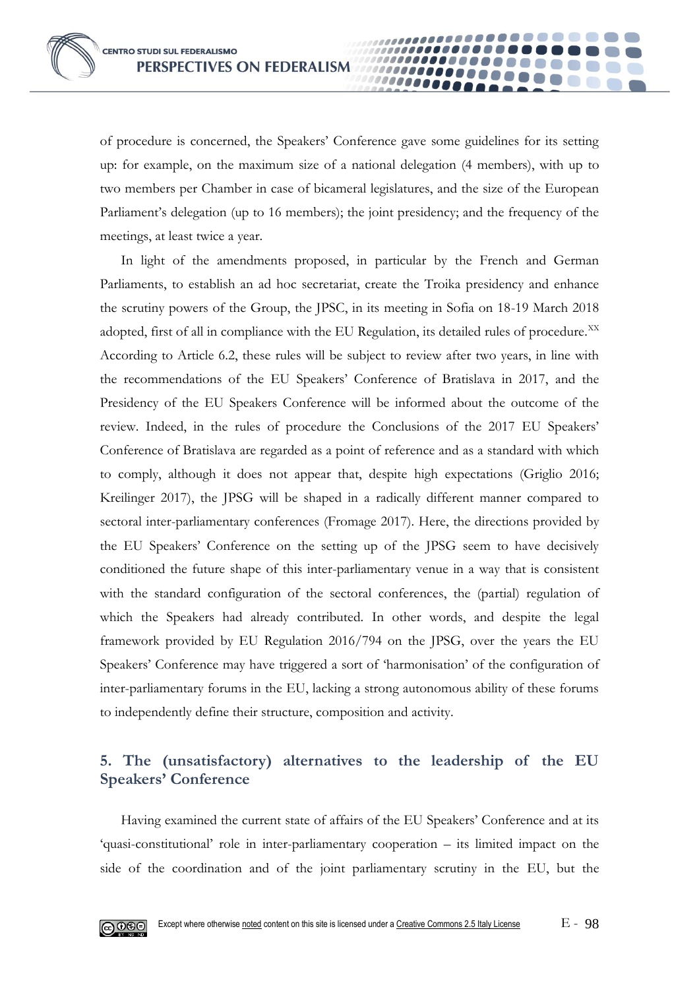of procedure is concerned, the Speakers' Conference gave some guidelines for its setting up: for example, on the maximum size of a national delegation (4 members), with up to two members per Chamber in case of bicameral legislatures, and the size of the European Parliament's delegation (up to 16 members); the joint presidency; and the frequency of the meetings, at least twice a year.

10000

In light of the amendments proposed, in particular by the French and German Parliaments, to establish an ad hoc secretariat, create the Troika presidency and enhance the scrutiny powers of the Group, the JPSC, in its meeting in Sofia on 18-19 March 2018 adopted, first of all in compliance with the EU Regulation, its detailed rules of procedure. $^{XX}$ According to Article 6.2, these rules will be subject to review after two years, in line with the recommendations of the EU Speakers' Conference of Bratislava in 2017, and the Presidency of the EU Speakers Conference will be informed about the outcome of the review. Indeed, in the rules of procedure the Conclusions of the 2017 EU Speakers' Conference of Bratislava are regarded as a point of reference and as a standard with which to comply, although it does not appear that, despite high expectations (Griglio 2016; Kreilinger 2017), the JPSG will be shaped in a radically different manner compared to sectoral inter-parliamentary conferences (Fromage 2017). Here, the directions provided by the EU Speakers' Conference on the setting up of the JPSG seem to have decisively conditioned the future shape of this inter-parliamentary venue in a way that is consistent with the standard configuration of the sectoral conferences, the (partial) regulation of which the Speakers had already contributed. In other words, and despite the legal framework provided by EU Regulation 2016/794 on the JPSG, over the years the EU Speakers' Conference may have triggered a sort of 'harmonisation' of the configuration of inter-parliamentary forums in the EU, lacking a strong autonomous ability of these forums to independently define their structure, composition and activity.

# **5. The (unsatisfactory) alternatives to the leadership of the EU Speakers' Conference**

Having examined the current state of affairs of the EU Speakers' Conference and at its 'quasi-constitutional' role in inter-parliamentary cooperation – its limited impact on the side of the coordination and of the joint parliamentary scrutiny in the EU, but the

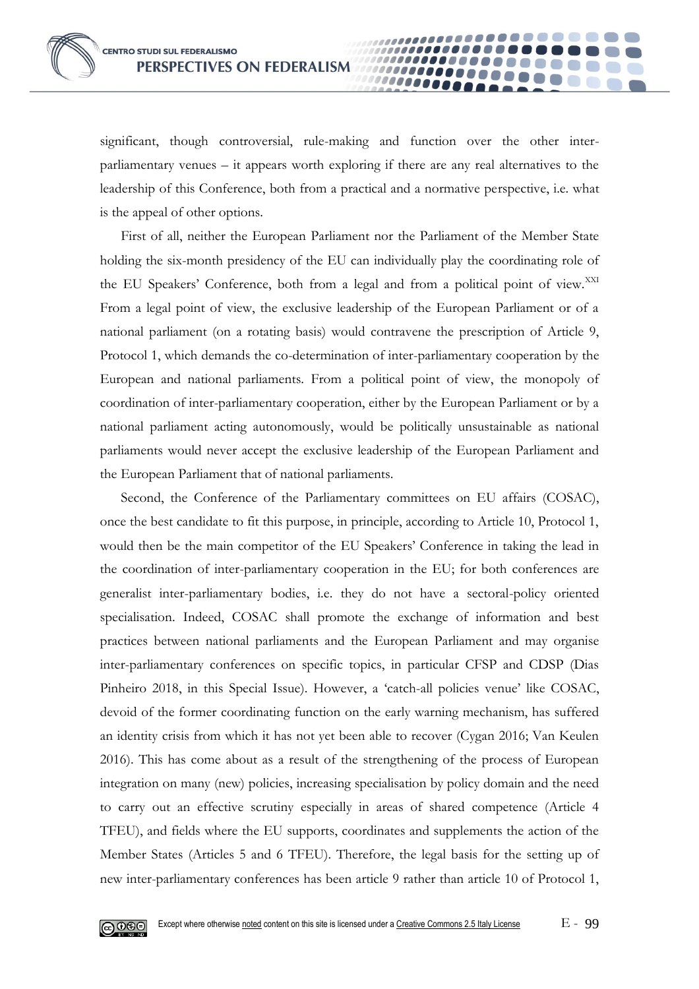significant, though controversial, rule-making and function over the other interparliamentary venues – it appears worth exploring if there are any real alternatives to the leadership of this Conference, both from a practical and a normative perspective, i.e. what is the appeal of other options.

......

100000000 000000

First of all, neither the European Parliament nor the Parliament of the Member State holding the six-month presidency of the EU can individually play the coordinating role of the EU Speakers' Conference, both from a legal and from a political point of view.<sup>XXI</sup> From a legal point of view, the exclusive leadership of the European Parliament or of a national parliament (on a rotating basis) would contravene the prescription of Article 9, Protocol 1, which demands the co-determination of inter-parliamentary cooperation by the European and national parliaments. From a political point of view, the monopoly of coordination of inter-parliamentary cooperation, either by the European Parliament or by a national parliament acting autonomously, would be politically unsustainable as national parliaments would never accept the exclusive leadership of the European Parliament and the European Parliament that of national parliaments.

Second, the Conference of the Parliamentary committees on EU affairs (COSAC), once the best candidate to fit this purpose, in principle, according to Article 10, Protocol 1, would then be the main competitor of the EU Speakers' Conference in taking the lead in the coordination of inter-parliamentary cooperation in the EU; for both conferences are generalist inter-parliamentary bodies, i.e. they do not have a sectoral-policy oriented specialisation. Indeed, COSAC shall promote the exchange of information and best practices between national parliaments and the European Parliament and may organise inter-parliamentary conferences on specific topics, in particular CFSP and CDSP (Dias Pinheiro 2018, in this Special Issue). However, a 'catch-all policies venue' like COSAC, devoid of the former coordinating function on the early warning mechanism, has suffered an identity crisis from which it has not yet been able to recover (Cygan 2016; Van Keulen 2016). This has come about as a result of the strengthening of the process of European integration on many (new) policies, increasing specialisation by policy domain and the need to carry out an effective scrutiny especially in areas of shared competence (Article 4 TFEU), and fields where the EU supports, coordinates and supplements the action of the Member States (Articles 5 and 6 TFEU). Therefore, the legal basis for the setting up of new inter-parliamentary conferences has been article 9 rather than article 10 of Protocol 1,

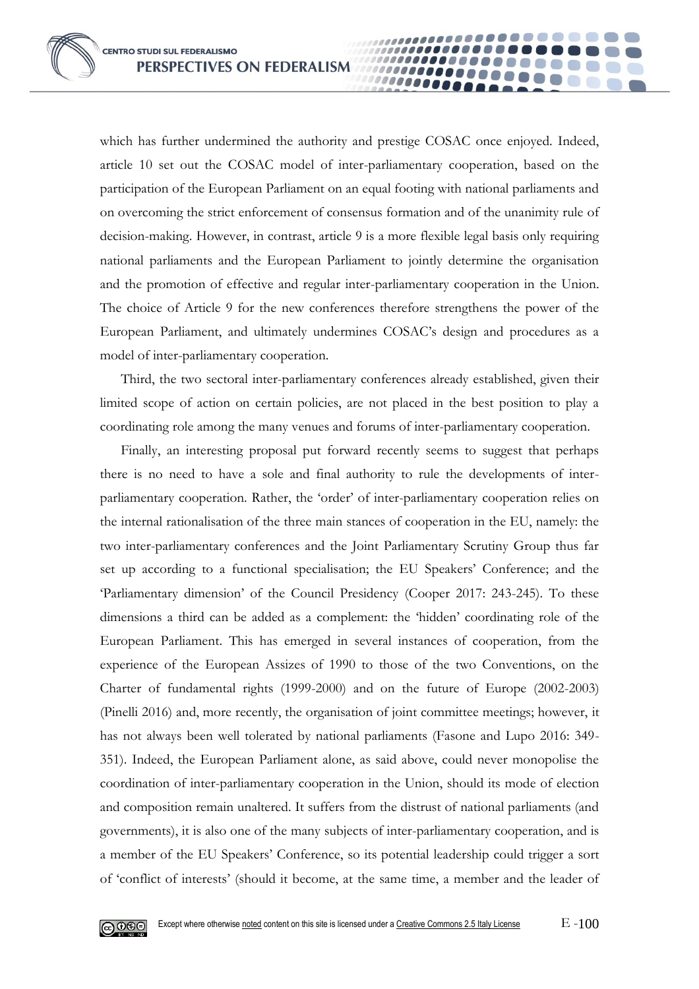which has further undermined the authority and prestige COSAC once enjoyed. Indeed, article 10 set out the COSAC model of inter-parliamentary cooperation, based on the participation of the European Parliament on an equal footing with national parliaments and on overcoming the strict enforcement of consensus formation and of the unanimity rule of decision-making. However, in contrast, article 9 is a more flexible legal basis only requiring national parliaments and the European Parliament to jointly determine the organisation and the promotion of effective and regular inter-parliamentary cooperation in the Union. The choice of Article 9 for the new conferences therefore strengthens the power of the European Parliament, and ultimately undermines COSAC's design and procedures as a model of inter-parliamentary cooperation.

100000000 10000

Third, the two sectoral inter-parliamentary conferences already established, given their limited scope of action on certain policies, are not placed in the best position to play a coordinating role among the many venues and forums of inter-parliamentary cooperation.

Finally, an interesting proposal put forward recently seems to suggest that perhaps there is no need to have a sole and final authority to rule the developments of interparliamentary cooperation. Rather, the 'order' of inter-parliamentary cooperation relies on the internal rationalisation of the three main stances of cooperation in the EU, namely: the two inter-parliamentary conferences and the Joint Parliamentary Scrutiny Group thus far set up according to a functional specialisation; the EU Speakers' Conference; and the 'Parliamentary dimension' of the Council Presidency (Cooper 2017: 243-245). To these dimensions a third can be added as a complement: the 'hidden' coordinating role of the European Parliament. This has emerged in several instances of cooperation, from the experience of the European Assizes of 1990 to those of the two Conventions, on the Charter of fundamental rights (1999-2000) and on the future of Europe (2002-2003) (Pinelli 2016) and, more recently, the organisation of joint committee meetings; however, it has not always been well tolerated by national parliaments (Fasone and Lupo 2016: 349- 351). Indeed, the European Parliament alone, as said above, could never monopolise the coordination of inter-parliamentary cooperation in the Union, should its mode of election and composition remain unaltered. It suffers from the distrust of national parliaments (and governments), it is also one of the many subjects of inter-parliamentary cooperation, and is a member of the EU Speakers' Conference, so its potential leadership could trigger a sort of 'conflict of interests' (should it become, at the same time, a member and the leader of

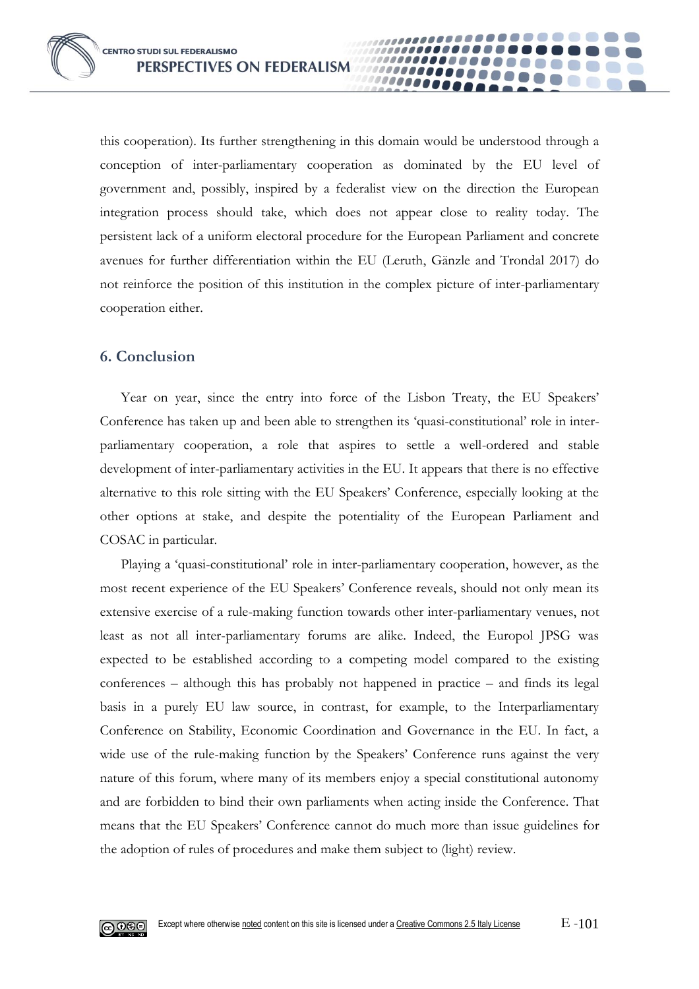this cooperation). Its further strengthening in this domain would be understood through a conception of inter-parliamentary cooperation as dominated by the EU level of government and, possibly, inspired by a federalist view on the direction the European integration process should take, which does not appear close to reality today. The persistent lack of a uniform electoral procedure for the European Parliament and concrete avenues for further differentiation within the EU (Leruth, Gänzle and Trondal 2017) do not reinforce the position of this institution in the complex picture of inter-parliamentary cooperation either.

**0000** 

#### **6. Conclusion**

Year on year, since the entry into force of the Lisbon Treaty, the EU Speakers' Conference has taken up and been able to strengthen its 'quasi-constitutional' role in interparliamentary cooperation, a role that aspires to settle a well-ordered and stable development of inter-parliamentary activities in the EU. It appears that there is no effective alternative to this role sitting with the EU Speakers' Conference, especially looking at the other options at stake, and despite the potentiality of the European Parliament and COSAC in particular.

Playing a 'quasi-constitutional' role in inter-parliamentary cooperation, however, as the most recent experience of the EU Speakers' Conference reveals, should not only mean its extensive exercise of a rule-making function towards other inter-parliamentary venues, not least as not all inter-parliamentary forums are alike. Indeed, the Europol JPSG was expected to be established according to a competing model compared to the existing conferences – although this has probably not happened in practice – and finds its legal basis in a purely EU law source, in contrast, for example, to the Interparliamentary Conference on Stability, Economic Coordination and Governance in the EU. In fact, a wide use of the rule-making function by the Speakers' Conference runs against the very nature of this forum, where many of its members enjoy a special constitutional autonomy and are forbidden to bind their own parliaments when acting inside the Conference. That means that the EU Speakers' Conference cannot do much more than issue guidelines for the adoption of rules of procedures and make them subject to (light) review.

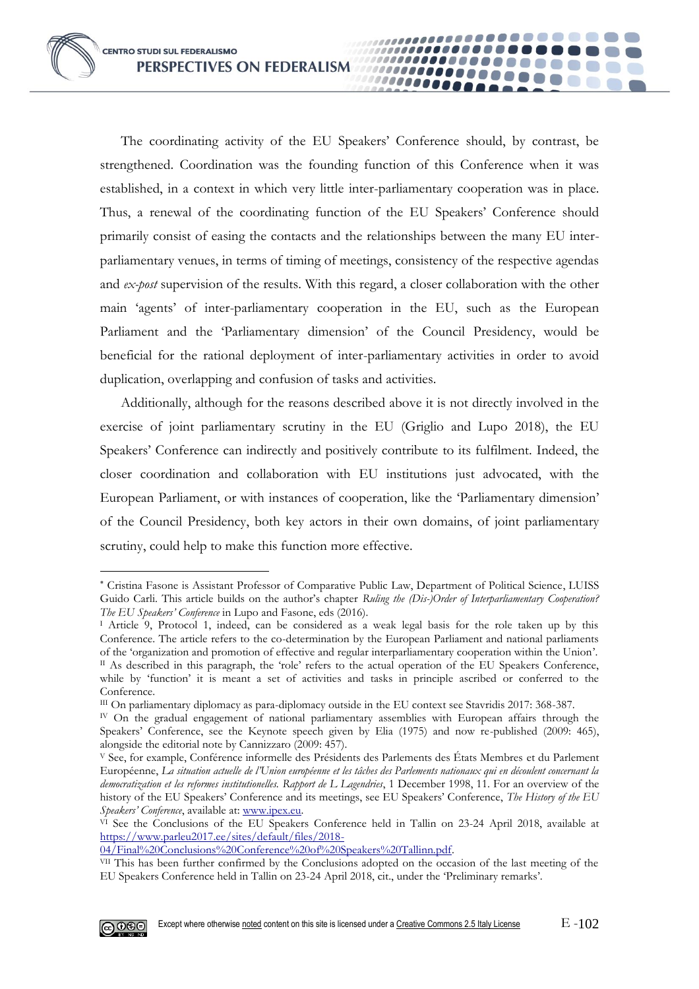The coordinating activity of the EU Speakers' Conference should, by contrast, be strengthened. Coordination was the founding function of this Conference when it was established, in a context in which very little inter-parliamentary cooperation was in place. Thus, a renewal of the coordinating function of the EU Speakers' Conference should primarily consist of easing the contacts and the relationships between the many EU interparliamentary venues, in terms of timing of meetings, consistency of the respective agendas and *ex-post* supervision of the results. With this regard, a closer collaboration with the other main 'agents' of inter-parliamentary cooperation in the EU, such as the European Parliament and the 'Parliamentary dimension' of the Council Presidency, would be beneficial for the rational deployment of inter-parliamentary activities in order to avoid duplication, overlapping and confusion of tasks and activities.

,,,,,,,,,,,,,,,,,,,,,,

................

,,,,,,,,,,,,,,,,,,,,,

................

1000000000

Additionally, although for the reasons described above it is not directly involved in the exercise of joint parliamentary scrutiny in the EU (Griglio and Lupo 2018), the EU Speakers' Conference can indirectly and positively contribute to its fulfilment. Indeed, the closer coordination and collaboration with EU institutions just advocated, with the European Parliament, or with instances of cooperation, like the 'Parliamentary dimension' of the Council Presidency, both key actors in their own domains, of joint parliamentary scrutiny, could help to make this function more effective.

[04/Final%20Conclusions%20Conference%20of%20Speakers%20Tallinn.pdf.](https://www.parleu2017.ee/sites/default/files/2018-04/Final%20Conclusions%20Conference%20of%20Speakers%20Tallinn.pdf)

VII This has been further confirmed by the Conclusions adopted on the occasion of the last meeting of the EU Speakers Conference held in Tallin on 23-24 April 2018, cit., under the 'Preliminary remarks'.



<u>.</u>

Cristina Fasone is Assistant Professor of Comparative Public Law, Department of Political Science, LUISS Guido Carli. This article builds on the author's chapter *Ruling the (Dis-)Order of Interparliamentary Cooperation? The EU Speakers' Conference* in Lupo and Fasone, eds (2016).

<sup>I</sup> Article 9, Protocol 1, indeed, can be considered as a weak legal basis for the role taken up by this Conference. The article refers to the co-determination by the European Parliament and national parliaments of the 'organization and promotion of effective and regular interparliamentary cooperation within the Union'.  $II$  As described in this paragraph, the 'role' refers to the actual operation of the EU Speakers Conference, while by 'function' it is meant a set of activities and tasks in principle ascribed or conferred to the Conference.

III On parliamentary diplomacy as para-diplomacy outside in the EU context see Stavridis 2017: 368-387.

IV On the gradual engagement of national parliamentary assemblies with European affairs through the Speakers' Conference, see the Keynote speech given by Elia (1975) and now re-published (2009: 465), alongside the editorial note by Cannizzaro (2009: 457).

<sup>V</sup> See, for example, Conférence informelle des Présidents des Parlements des États Membres et du Parlement Européenne, *La situation actuelle de l'Union européenne et les tâches des Parlements nationaux qui en découlent concernant la democratization et les reformes institutionelles. Rapport de L Lagendries*, 1 December 1998, 11. For an overview of the history of the EU Speakers' Conference and its meetings, see EU Speakers' Conference, *The History of the EU Speakers' Conference*, available at[: www.ipex.eu.](http://www.ipex.eu/)

<sup>&</sup>lt;sup>VI</sup> See the Conclusions of the EU Speakers Conference held in Tallin on 23-24 April 2018, available at [https://www.parleu2017.ee/sites/default/files/2018-](https://www.parleu2017.ee/sites/default/files/2018-04/Final%20Conclusions%20Conference%20of%20Speakers%20Tallinn.pdf)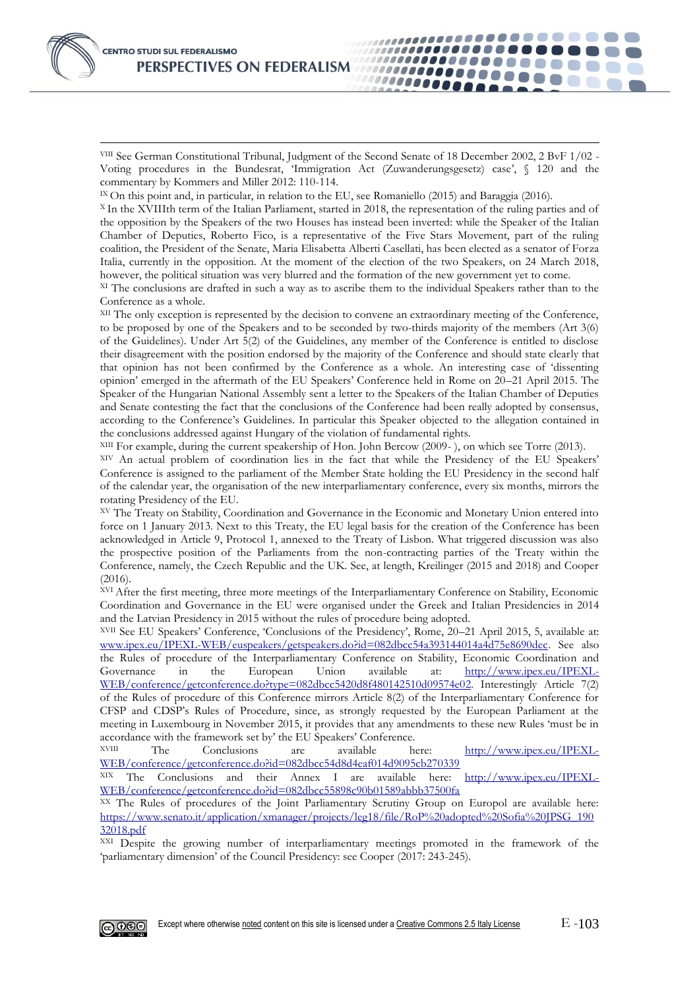-

VIII See German Constitutional Tribunal, Judgment of the Second Senate of 18 December 2002, 2 BvF 1/02 - Voting procedures in the Bundesrat, 'Immigration Act (Zuwanderungsgesetz) case', § 120 and the commentary by Kommers and Miller 2012: 110-114.

...................

,,,,,,,,,,,,,,

1111111111111111

.........

100000000

IX On this point and, in particular, in relation to the EU, see Romaniello (2015) and Baraggia (2016).

<sup>X</sup> In the XVIIIth term of the Italian Parliament, started in 2018, the representation of the ruling parties and of the opposition by the Speakers of the two Houses has instead been inverted: while the Speaker of the Italian Chamber of Deputies, Roberto Fico, is a representative of the Five Stars Movement, part of the ruling coalition, the President of the Senate, Maria Elisabetta Alberti Casellati, has been elected as a senator of Forza Italia, currently in the opposition. At the moment of the election of the two Speakers, on 24 March 2018, however, the political situation was very blurred and the formation of the new government yet to come.

XI The conclusions are drafted in such a way as to ascribe them to the individual Speakers rather than to the Conference as a whole.

XII The only exception is represented by the decision to convene an extraordinary meeting of the Conference, to be proposed by one of the Speakers and to be seconded by two-thirds majority of the members (Art 3(6) of the Guidelines). Under Art 5(2) of the Guidelines, any member of the Conference is entitled to disclose their disagreement with the position endorsed by the majority of the Conference and should state clearly that that opinion has not been confirmed by the Conference as a whole. An interesting case of 'dissenting opinion' emerged in the aftermath of the EU Speakers' Conference held in Rome on 20–21 April 2015. The Speaker of the Hungarian National Assembly sent a letter to the Speakers of the Italian Chamber of Deputies and Senate contesting the fact that the conclusions of the Conference had been really adopted by consensus, according to the Conference's Guidelines. In particular this Speaker objected to the allegation contained in the conclusions addressed against Hungary of the violation of fundamental rights.

XIII For example, during the current speakership of Hon. John Bercow (2009- ), on which see Torre (2013).

XIV An actual problem of coordination lies in the fact that while the Presidency of the EU Speakers' Conference is assigned to the parliament of the Member State holding the EU Presidency in the second half of the calendar year, the organisation of the new interparliamentary conference, every six months, mirrors the rotating Presidency of the EU.

XV The Treaty on Stability, Coordination and Governance in the Economic and Monetary Union entered into force on 1 January 2013. Next to this Treaty, the EU legal basis for the creation of the Conference has been acknowledged in Article 9, Protocol 1, annexed to the Treaty of Lisbon. What triggered discussion was also the prospective position of the Parliaments from the non-contracting parties of the Treaty within the Conference, namely, the Czech Republic and the UK. See, at length, Kreilinger (2015 and 2018) and Cooper  $(2016)$ .

XVI After the first meeting, three more meetings of the Interparliamentary Conference on Stability, Economic Coordination and Governance in the EU were organised under the Greek and Italian Presidencies in 2014 and the Latvian Presidency in 2015 without the rules of procedure being adopted.

XVII See EU Speakers' Conference, 'Conclusions of the Presidency', Rome, 20–21 April 2015, 5, available at: [www.ipex.eu/IPEXL-WEB/euspeakers/getspeakers.do?id=082dbcc54a393144014a4d75e8690dec.](http://www.ipex.eu/IPEXL-WEB/euspeakers/getspeakers.do?id=082dbcc54a393144014a4d75e8690dec) See also the Rules of procedure of the Interparliamentary Conference on Stability, Economic Coordination and Governance in the European Union available at: [http://www.ipex.eu/IPEXL-](http://www.ipex.eu/IPEXL-WEB/conference/getconference.do?type=082dbcc5420d8f480142510d09574e02)[WEB/conference/getconference.do?type=082dbcc5420d8f480142510d09574e02.](http://www.ipex.eu/IPEXL-WEB/conference/getconference.do?type=082dbcc5420d8f480142510d09574e02) Interestingly Article 7(2) of the Rules of procedure of this Conference mirrors Article 8(2) of the Interparliamentary Conference for CFSP and CDSP's Rules of Procedure, since, as strongly requested by the European Parliament at the meeting in Luxembourg in November 2015, it provides that any amendments to these new Rules 'must be in accordance with the framework set by' the EU Speakers' Conference.

The Conclusions are available here: [http://www.ipex.eu/IPEXL-](http://www.ipex.eu/IPEXL-WEB/conference/getconference.do?id=082dbcc54d8d4eaf014d9095cb270339)[WEB/conference/getconference.do?id=082dbcc54d8d4eaf014d9095cb270339](http://www.ipex.eu/IPEXL-WEB/conference/getconference.do?id=082dbcc54d8d4eaf014d9095cb270339)<br>XIX The Conclusions and their Annex I are available here:

XX The Rules of procedures of the Joint Parliamentary Scrutiny Group on Europol are available here: [https://www.senato.it/application/xmanager/projects/leg18/file/RoP%20adopted%20Sofia%20JPSG\\_190](https://www.senato.it/application/xmanager/projects/leg18/file/RoP%20adopted%20Sofia%20JPSG_19032018.pdf) [32018.pdf](https://www.senato.it/application/xmanager/projects/leg18/file/RoP%20adopted%20Sofia%20JPSG_19032018.pdf)

XXI Despite the growing number of interparliamentary meetings promoted in the framework of the 'parliamentary dimension' of the Council Presidency: see Cooper (2017: 243-245).



The Conclusions and their Annex I are available here: [http://www.ipex.eu/IPEXL-](http://www.ipex.eu/IPEXL-WEB/conference/getconference.do?id=082dbcc55898c90b01589abbb37500fa)[WEB/conference/getconference.do?id=082dbcc55898c90b01589abbb37500fa](http://www.ipex.eu/IPEXL-WEB/conference/getconference.do?id=082dbcc55898c90b01589abbb37500fa)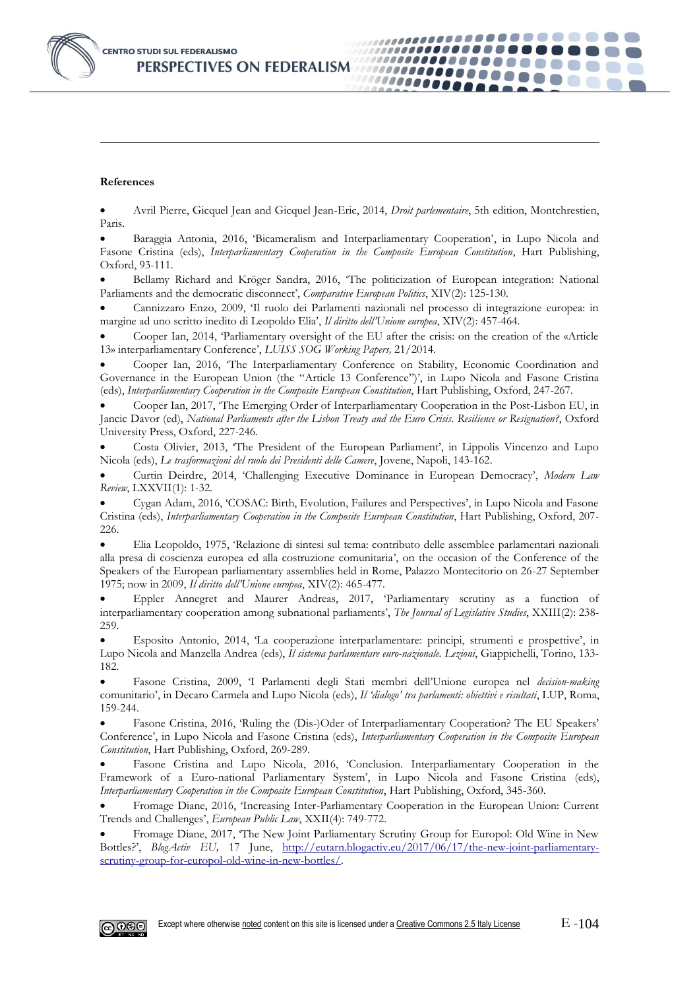

#### **References**

-

• Avril Pierre, Gicquel Jean and Gicquel Jean-Eric, 2014, *Droit parlementaire*, 5th edition, Montchrestien, Paris.

...................

*........* 

000000000

,,,,,,,,,,,,,

1000000000000

• Baraggia Antonia, 2016, 'Bicameralism and Interparliamentary Cooperation', in Lupo Nicola and Fasone Cristina (eds), *Interparliamentary Cooperation in the Composite European Constitution*, Hart Publishing, Oxford, 93-111.

• Bellamy Richard and Kröger Sandra, 2016, 'The politicization of European integration: National Parliaments and the democratic disconnect', *Comparative European Politics*, XIV(2): 125-130.

• Cannizzaro Enzo, 2009, 'Il ruolo dei Parlamenti nazionali nel processo di integrazione europea: in margine ad uno scritto inedito di Leopoldo Elia', *Il diritto dell'Unione europea*, XIV(2): 457-464.

• Cooper Ian, 2014, 'Parliamentary oversight of the EU after the crisis: on the creation of the «Article 13» interparliamentary Conference', *LUISS SOG Working Papers,* 21/2014.

• Cooper Ian, 2016, 'The Interparliamentary Conference on Stability, Economic Coordination and Governance in the European Union (the "Article 13 Conference")', in Lupo Nicola and Fasone Cristina (eds), *Interparliamentary Cooperation in the Composite European Constitution*, Hart Publishing, Oxford, 247-267.

• Cooper Ian, 2017, 'The Emerging Order of Interparliamentary Cooperation in the Post-Lisbon EU, in Jancic Davor (ed), *National Parliaments after the Lisbon Treaty and the Euro Crisis. Resilience or Resignation?*, Oxford University Press, Oxford, 227-246.

• Costa Olivier, 2013, 'The President of the European Parliament', in Lippolis Vincenzo and Lupo Nicola (eds), *Le trasformazioni del ruolo dei Presidenti delle Camere*, Jovene, Napoli, 143-162.

• Curtin Deirdre, 2014, 'Challenging Executive Dominance in European Democracy', *Modern Law Review*, LXXVII(1): 1-32.

• Cygan Adam, 2016, 'COSAC: Birth, Evolution, Failures and Perspectives', in Lupo Nicola and Fasone Cristina (eds), *Interparliamentary Cooperation in the Composite European Constitution*, Hart Publishing, Oxford, 207- 226.

• Elia Leopoldo, 1975, 'Relazione di sintesi sul tema: contributo delle assemblee parlamentari nazionali alla presa di coscienza europea ed alla costruzione comunitaria', on the occasion of the Conference of the Speakers of the European parliamentary assemblies held in Rome, Palazzo Montecitorio on 26-27 September 1975; now in 2009, *Il diritto dell'Unione europea*, XIV(2): 465-477.

• Eppler Annegret and Maurer Andreas, 2017, 'Parliamentary scrutiny as a function of interparliamentary cooperation among subnational parliaments', *The Journal of Legislative Studies*, XXIII(2): 238- 259.

• Esposito Antonio, 2014, 'La cooperazione interparlamentare: principi, strumenti e prospettive', in Lupo Nicola and Manzella Andrea (eds), *Il sistema parlamentare euro-nazionale. Lezioni*, Giappichelli, Torino, 133- 182.

• Fasone Cristina, 2009, 'I Parlamenti degli Stati membri dell'Unione europea nel *decision-making* comunitario', in Decaro Carmela and Lupo Nicola (eds), *Il 'dialogo' tra parlamenti: obiettivi e risultati*, LUP, Roma, 159-244.

• Fasone Cristina, 2016, 'Ruling the (Dis-)Oder of Interparliamentary Cooperation? The EU Speakers' Conference', in Lupo Nicola and Fasone Cristina (eds), *Interparliamentary Cooperation in the Composite European Constitution*, Hart Publishing, Oxford, 269-289.

• Fasone Cristina and Lupo Nicola, 2016, 'Conclusion. Interparliamentary Cooperation in the Framework of a Euro-national Parliamentary System', in Lupo Nicola and Fasone Cristina (eds), *Interparliamentary Cooperation in the Composite European Constitution*, Hart Publishing, Oxford, 345-360.

• Fromage Diane, 2016, 'Increasing Inter-Parliamentary Cooperation in the European Union: Current Trends and Challenges', *European Public Law*, XXII(4): 749-772.

• Fromage Diane, 2017, 'The New Joint Parliamentary Scrutiny Group for Europol: Old Wine in New Bottles?', *BlogActiv EU,* 17 June, [http://eutarn.blogactiv.eu/2017/06/17/the-new-joint-parliamentary](http://eutarn.blogactiv.eu/2017/06/17/the-new-joint-parliamentary-scrutiny-group-for-europol-old-wine-in-new-bottles/)[scrutiny-group-for-europol-old-wine-in-new-bottles/.](http://eutarn.blogactiv.eu/2017/06/17/the-new-joint-parliamentary-scrutiny-group-for-europol-old-wine-in-new-bottles/)

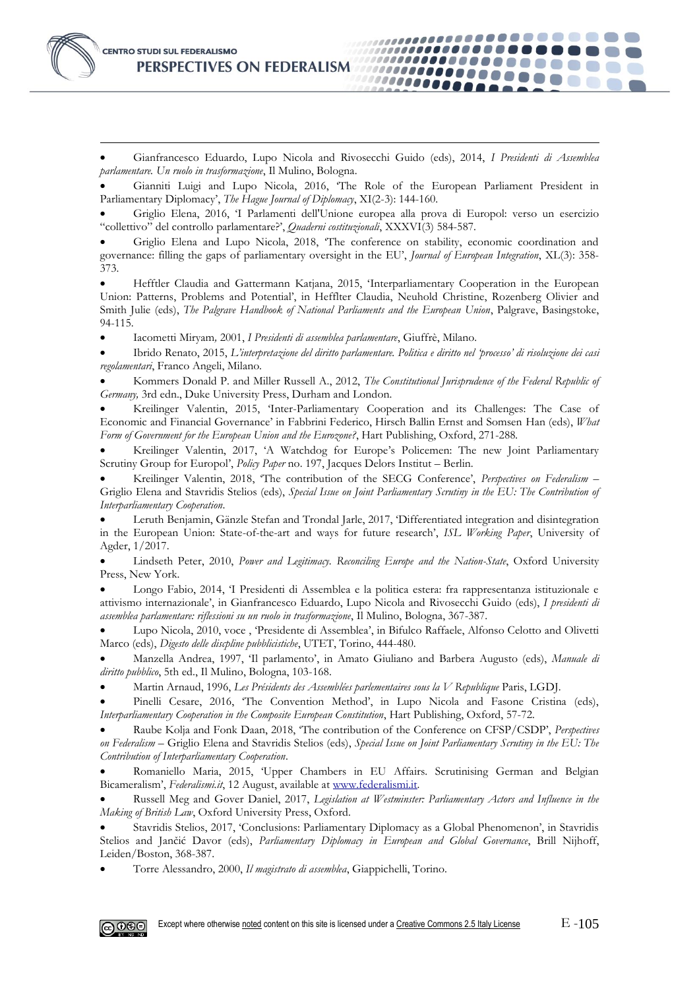-

• Gianfrancesco Eduardo, Lupo Nicola and Rivosecchi Guido (eds), 2014, *I Presidenti di Assemblea parlamentare. Un ruolo in trasformazione*, Il Mulino, Bologna.

,,,,,,,,,,,,,,,,,,,,,,

,,,,,,,,,,,,,,,,

1111111111111000

.........

00000000

• Gianniti Luigi and Lupo Nicola, 2016, 'The Role of the European Parliament President in Parliamentary Diplomacy', *The Hague Journal of Diplomacy*, XI(2-3): 144-160.

• Griglio Elena, 2016, 'I Parlamenti dell'Unione europea alla prova di Europol: verso un esercizio "collettivo" del controllo parlamentare?', *Quaderni costituzionali*, XXXVI(3) 584-587.

• Griglio Elena and Lupo Nicola, 2018, 'The conference on stability, economic coordination and governance: filling the gaps of parliamentary oversight in the EU', *Journal of European Integration*, XL(3): 358- 373.

• Hefftler Claudia and Gattermann Katjana, 2015, 'Interparliamentary Cooperation in the European Union: Patterns, Problems and Potential', in Hefflter Claudia, Neuhold Christine, Rozenberg Olivier and Smith Julie (eds), *The Palgrave Handbook of National Parliaments and the European Union*, Palgrave, Basingstoke, 94-115.

• Iacometti Miryam*,* 2001, *I Presidenti di assemblea parlamentare*, Giuffrè, Milano.

• Ibrido Renato, 2015, *L'interpretazione del diritto parlamentare. Politica e diritto nel 'processo' di risoluzione dei casi regolamentari*, Franco Angeli, Milano.

• Kommers Donald P. and Miller Russell A., 2012, *The Constitutional Jurisprudence of the Federal Republic of Germany,* 3rd edn., Duke University Press, Durham and London.

• Kreilinger Valentin, 2015, 'Inter-Parliamentary Cooperation and its Challenges: The Case of Economic and Financial Governance' in Fabbrini Federico, Hirsch Ballin Ernst and Somsen Han (eds), *What Form of Government for the European Union and the Eurozone?*, Hart Publishing, Oxford, 271-288*.*

• Kreilinger Valentin, 2017, 'A Watchdog for Europe's Policemen: The new Joint Parliamentary Scrutiny Group for Europol', *Policy Paper* no. 197, Jacques Delors Institut – Berlin.

• Kreilinger Valentin, 2018, 'The contribution of the SECG Conference', *Perspectives on Federalism –* Griglio Elena and Stavridis Stelios (eds), *Special Issue on Joint Parliamentary Scrutiny in the EU: The Contribution of Interparliamentary Cooperation*.

• Leruth Benjamin, Gänzle Stefan and Trondal Jarle, 2017, 'Differentiated integration and disintegration in the European Union: State-of-the-art and ways for future research', *ISL Working Paper*, University of Agder, 1/2017.

• Lindseth Peter, 2010, *Power and Legitimacy. Reconciling Europe and the Nation-State*, Oxford University Press, New York.

• Longo Fabio, 2014, 'I Presidenti di Assemblea e la politica estera: fra rappresentanza istituzionale e attivismo internazionale', in Gianfrancesco Eduardo, Lupo Nicola and Rivosecchi Guido (eds), *I presidenti di assemblea parlamentare: riflessioni su un ruolo in trasformazione*, Il Mulino, Bologna, 367-387.

Lupo Nicola, 2010, voce, 'Presidente di Assemblea', in Bifulco Raffaele, Alfonso Celotto and Olivetti Marco (eds), *Digesto delle discpline pubblicistiche*, UTET, Torino, 444-480.

• Manzella Andrea, 1997, 'Il parlamento', in Amato Giuliano and Barbera Augusto (eds), *Manuale di diritto pubblico*, 5th ed., Il Mulino, Bologna, 103-168.

• Martin Arnaud, 1996, *Les Présidents des Assemblées parlementaires sous la V Republique* Paris, LGDJ.

• Pinelli Cesare, 2016, 'The Convention Method', in Lupo Nicola and Fasone Cristina (eds), *Interparliamentary Cooperation in the Composite European Constitution*, Hart Publishing, Oxford, 57-72.

• Raube Kolja and Fonk Daan, 2018, 'The contribution of the Conference on CFSP/CSDP', *Perspectives on Federalism –* Griglio Elena and Stavridis Stelios (eds), *Special Issue on Joint Parliamentary Scrutiny in the EU: The Contribution of Interparliamentary Cooperation*.

• Romaniello Maria, 2015, 'Upper Chambers in EU Affairs. Scrutinising German and Belgian Bicameralism', *Federalismi.it*, 12 August, available at [www.federalismi.it.](http://www.federalismi.it/)

• Russell Meg and Gover Daniel, 2017, *Legislation at Westminster: Parliamentary Actors and Influence in the Making of British Law*, Oxford University Press, Oxford.

• Stavridis Stelios, 2017, 'Conclusions: Parliamentary Diplomacy as a Global Phenomenon', in Stavridis Stelios and Jančić Davor (eds), *Parliamentary Diplomacy in European and Global Governance*, Brill Nijhoff, Leiden/Boston, 368-387.

• Torre Alessandro, 2000, *Il magistrato di assemblea*, Giappichelli, Torino.